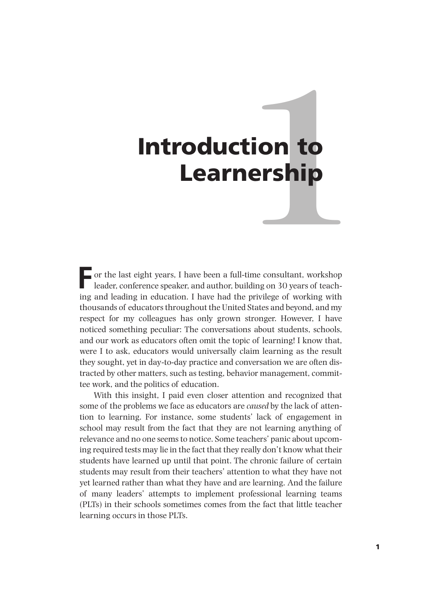# **1** Introduction to Learnership

**F** or the last eight years, I have been a full-time consultant, workshop leader, conference speaker, and author, building on 30 years of teaching and leading in education. I have had the privilege of working with thousands of educators throughout the United States and beyond, and my respect for my colleagues has only grown stronger. However, I have noticed something peculiar: The conversations about students, schools, and our work as educators often omit the topic of learning! I know that, were I to ask, educators would universally claim learning as the result they sought, yet in day-to-day practice and conversation we are often distracted by other matters, such as testing, behavior management, committee work, and the politics of education.

With this insight, I paid even closer attention and recognized that some of the problems we face as educators are *caused* by the lack of attention to learning. For instance, some students' lack of engagement in school may result from the fact that they are not learning anything of relevance and no one seems to notice. Some teachers' panic about upcoming required tests may lie in the fact that they really don't know what their students have learned up until that point. The chronic failure of certain students may result from their teachers' attention to what they have not yet learned rather than what they have and are learning. And the failure of many leaders' attempts to implement professional learning teams (PLTs) in their schools sometimes comes from the fact that little teacher learning occurs in those PLTs.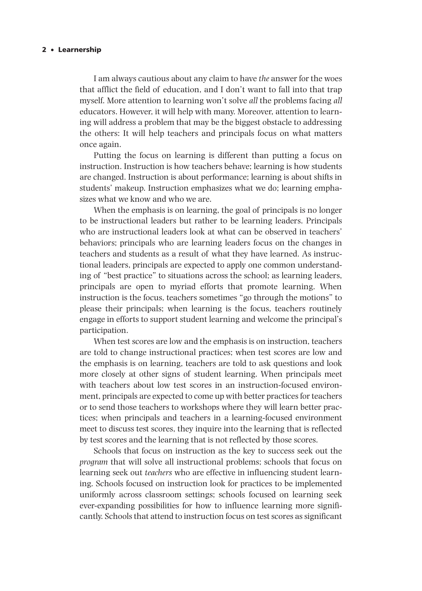# 2•Learnership

I am always cautious about any claim to have *the* answer for the woes that afflict the field of education, and I don't want to fall into that trap myself. More attention to learning won't solve *all* the problems facing *all* educators. However, it will help with many. Moreover, attention to learning will address a problem that may be the biggest obstacle to addressing the others: It will help teachers and principals focus on what matters once again.

Putting the focus on learning is different than putting a focus on instruction. Instruction is how teachers behave; learning is how students are changed. Instruction is about performance; learning is about shifts in students' makeup. Instruction emphasizes what we do; learning emphasizes what we know and who we are.

When the emphasis is on learning, the goal of principals is no longer to be instructional leaders but rather to be learning leaders. Principals who are instructional leaders look at what can be observed in teachers' behaviors; principals who are learning leaders focus on the changes in teachers and students as a result of what they have learned. As instructional leaders, principals are expected to apply one common understanding of "best practice" to situations across the school; as learning leaders, principals are open to myriad efforts that promote learning. When instruction is the focus, teachers sometimes "go through the motions" to please their principals; when learning is the focus, teachers routinely engage in efforts to support student learning and welcome the principal's participation.

When test scores are low and the emphasis is on instruction, teachers are told to change instructional practices; when test scores are low and the emphasis is on learning, teachers are told to ask questions and look more closely at other signs of student learning. When principals meet with teachers about low test scores in an instruction-focused environment, principals are expected to come up with better practices for teachers or to send those teachers to workshops where they will learn better practices; when principals and teachers in a learning-focused environment meet to discuss test scores, they inquire into the learning that is reflected by test scores and the learning that is not reflected by those scores.

Schools that focus on instruction as the key to success seek out the *program* that will solve all instructional problems; schools that focus on learning seek out *teachers* who are effective in influencing student learning. Schools focused on instruction look for practices to be implemented uniformly across classroom settings; schools focused on learning seek ever-expanding possibilities for how to influence learning more significantly. Schools that attend to instruction focus on test scores as significant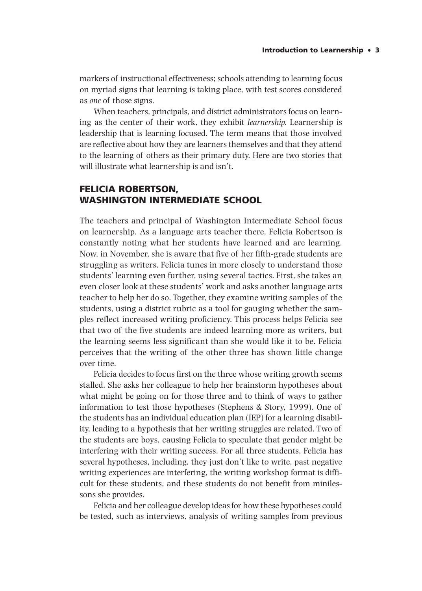# Introduction to Learnership•3

markers of instructional effectiveness; schools attending to learning focus on myriad signs that learning is taking place, with test scores considered as *one* of those signs.

When teachers, principals, and district administrators focus on learning as the center of their work, they exhibit *learnership.* Learnership is leadership that is learning focused. The term means that those involved are reflective about how they are learners themselves and that they attend to the learning of others as their primary duty. Here are two stories that will illustrate what learnership is and isn't.

# FELICIA ROBERTSON, WASHINGTON INTERMEDIATE SCHOOL

The teachers and principal of Washington Intermediate School focus on learnership. As a language arts teacher there, Felicia Robertson is constantly noting what her students have learned and are learning. Now, in November, she is aware that five of her fifth-grade students are struggling as writers. Felicia tunes in more closely to understand those students' learning even further, using several tactics. First, she takes an even closer look at these students' work and asks another language arts teacher to help her do so. Together, they examine writing samples of the students, using a district rubric as a tool for gauging whether the samples reflect increased writing proficiency. This process helps Felicia see that two of the five students are indeed learning more as writers, but the learning seems less significant than she would like it to be. Felicia perceives that the writing of the other three has shown little change over time.

Felicia decides to focus first on the three whose writing growth seems stalled. She asks her colleague to help her brainstorm hypotheses about what might be going on for those three and to think of ways to gather information to test those hypotheses (Stephens & Story, 1999). One of the students has an individual education plan (IEP) for a learning disability, leading to a hypothesis that her writing struggles are related. Two of the students are boys, causing Felicia to speculate that gender might be interfering with their writing success. For all three students, Felicia has several hypotheses, including, they just don't like to write, past negative writing experiences are interfering, the writing workshop format is difficult for these students, and these students do not benefit from minilessons she provides.

Felicia and her colleague develop ideas for how these hypotheses could be tested, such as interviews, analysis of writing samples from previous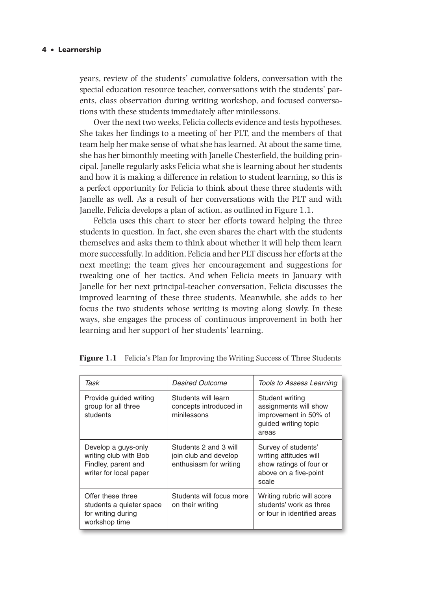years, review of the students' cumulative folders, conversation with the special education resource teacher, conversations with the students' parents, class observation during writing workshop, and focused conversations with these students immediately after minilessons.

Over the next two weeks, Felicia collects evidence and tests hypotheses. She takes her findings to a meeting of her PLT, and the members of that team help her make sense of what she has learned. At about the same time, she has her bimonthly meeting with Janelle Chesterfield, the building principal. Janelle regularly asks Felicia what she is learning about her students and how it is making a difference in relation to student learning, so this is a perfect opportunity for Felicia to think about these three students with Janelle as well. As a result of her conversations with the PLT and with Janelle, Felicia develops a plan of action, as outlined in Figure 1.1.

Felicia uses this chart to steer her efforts toward helping the three students in question. In fact, she even shares the chart with the students themselves and asks them to think about whether it will help them learn more successfully. In addition, Felicia and her PLT discuss her efforts at the next meeting; the team gives her encouragement and suggestions for tweaking one of her tactics. And when Felicia meets in January with Janelle for her next principal-teacher conversation, Felicia discusses the improved learning of these three students. Meanwhile, she adds to her focus the two students whose writing is moving along slowly. In these ways, she engages the process of continuous improvement in both her learning and her support of her students' learning.

| Task                                                                                          | <i>Desired Outcome</i>                                                   | Tools to Assess Learning                                                                                   |
|-----------------------------------------------------------------------------------------------|--------------------------------------------------------------------------|------------------------------------------------------------------------------------------------------------|
| Provide guided writing<br>group for all three<br>students                                     | Students will learn<br>concepts introduced in<br>minilessons             | Student writing<br>assignments will show<br>improvement in 50% of<br>guided writing topic<br>areas         |
| Develop a guys-only<br>writing club with Bob<br>Findley, parent and<br>writer for local paper | Students 2 and 3 will<br>join club and develop<br>enthusiasm for writing | Survey of students'<br>writing attitudes will<br>show ratings of four or<br>above on a five-point<br>scale |
| Offer these three<br>students a quieter space<br>for writing during<br>workshop time          | Students will focus more<br>on their writing                             | Writing rubric will score<br>students' work as three<br>or four in identified areas                        |

**Figure 1.1** Felicia's Plan for Improving the Writing Success of Three Students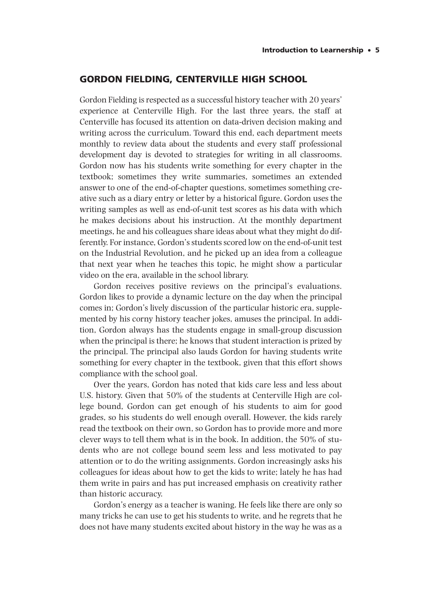# GORDON FIELDING, CENTERVILLE HIGH SCHOOL

Gordon Fielding is respected as a successful history teacher with 20 years' experience at Centerville High. For the last three years, the staff at Centerville has focused its attention on data-driven decision making and writing across the curriculum. Toward this end, each department meets monthly to review data about the students and every staff professional development day is devoted to strategies for writing in all classrooms. Gordon now has his students write something for every chapter in the textbook; sometimes they write summaries, sometimes an extended answer to one of the end-of-chapter questions, sometimes something creative such as a diary entry or letter by a historical figure. Gordon uses the writing samples as well as end-of-unit test scores as his data with which he makes decisions about his instruction. At the monthly department meetings, he and his colleagues share ideas about what they might do differently. For instance, Gordon's students scored low on the end-of-unit test on the Industrial Revolution, and he picked up an idea from a colleague that next year when he teaches this topic, he might show a particular video on the era, available in the school library.

Gordon receives positive reviews on the principal's evaluations. Gordon likes to provide a dynamic lecture on the day when the principal comes in; Gordon's lively discussion of the particular historic era, supplemented by his corny history teacher jokes, amuses the principal. In addition, Gordon always has the students engage in small-group discussion when the principal is there; he knows that student interaction is prized by the principal. The principal also lauds Gordon for having students write something for every chapter in the textbook, given that this effort shows compliance with the school goal.

Over the years, Gordon has noted that kids care less and less about U.S. history. Given that 50% of the students at Centerville High are college bound, Gordon can get enough of his students to aim for good grades, so his students do well enough overall. However, the kids rarely read the textbook on their own, so Gordon has to provide more and more clever ways to tell them what is in the book. In addition, the 50% of students who are not college bound seem less and less motivated to pay attention or to do the writing assignments. Gordon increasingly asks his colleagues for ideas about how to get the kids to write; lately he has had them write in pairs and has put increased emphasis on creativity rather than historic accuracy.

Gordon's energy as a teacher is waning. He feels like there are only so many tricks he can use to get his students to write, and he regrets that he does not have many students excited about history in the way he was as a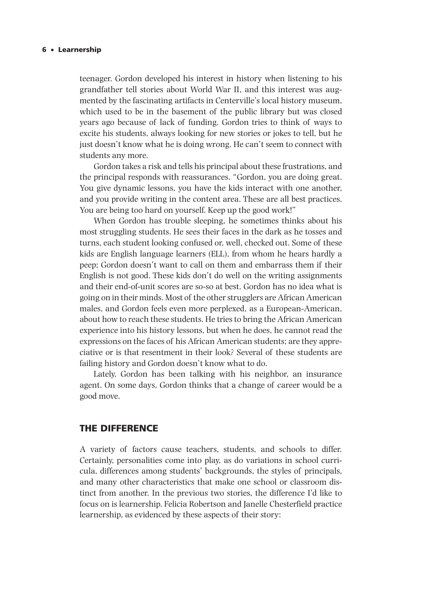### 6•Learnership

teenager. Gordon developed his interest in history when listening to his grandfather tell stories about World War II, and this interest was augmented by the fascinating artifacts in Centerville's local history museum, which used to be in the basement of the public library but was closed years ago because of lack of funding. Gordon tries to think of ways to excite his students, always looking for new stories or jokes to tell, but he just doesn't know what he is doing wrong. He can't seem to connect with students any more.

Gordon takes a risk and tells his principal about these frustrations, and the principal responds with reassurances. "Gordon, you are doing great. You give dynamic lessons, you have the kids interact with one another, and you provide writing in the content area. These are all best practices. You are being too hard on yourself. Keep up the good work!"

When Gordon has trouble sleeping, he sometimes thinks about his most struggling students. He sees their faces in the dark as he tosses and turns, each student looking confused or, well, checked out. Some of these kids are English language learners (ELL), from whom he hears hardly a peep; Gordon doesn't want to call on them and embarrass them if their English is not good. These kids don't do well on the writing assignments and their end-of-unit scores are so-so at best. Gordon has no idea what is going on in their minds. Most of the other strugglers are African American males, and Gordon feels even more perplexed, as a European-American, about how to reach these students. He tries to bring the African American experience into his history lessons, but when he does, he cannot read the expressions on the faces of his African American students; are they appreciative or is that resentment in their look? Several of these students are failing history and Gordon doesn't know what to do.

Lately, Gordon has been talking with his neighbor, an insurance agent. On some days, Gordon thinks that a change of career would be a good move.

# THE DIFFERENCE

A variety of factors cause teachers, students, and schools to differ. Certainly, personalities come into play, as do variations in school curricula, differences among students' backgrounds, the styles of principals, and many other characteristics that make one school or classroom distinct from another. In the previous two stories, the difference I'd like to focus on is learnership. Felicia Robertson and Janelle Chesterfield practice learnership, as evidenced by these aspects of their story: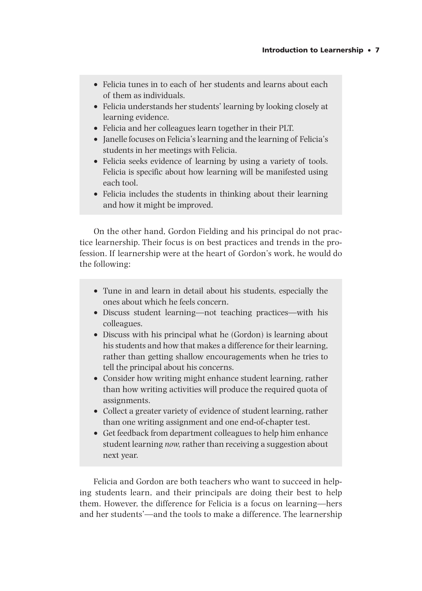- Felicia tunes in to each of her students and learns about each of them as individuals.
- Felicia understands her students' learning by looking closely at learning evidence.
- Felicia and her colleagues learn together in their PLT.
- Janelle focuses on Felicia's learning and the learning of Felicia's students in her meetings with Felicia.
- Felicia seeks evidence of learning by using a variety of tools. Felicia is specific about how learning will be manifested using each tool.
- Felicia includes the students in thinking about their learning and how it might be improved.

On the other hand, Gordon Fielding and his principal do not practice learnership. Their focus is on best practices and trends in the profession. If learnership were at the heart of Gordon's work, he would do the following:

- Tune in and learn in detail about his students, especially the ones about which he feels concern.
- Discuss student learning—not teaching practices—with his colleagues.
- Discuss with his principal what he (Gordon) is learning about his students and how that makes a difference for their learning, rather than getting shallow encouragements when he tries to tell the principal about his concerns.
- Consider how writing might enhance student learning, rather than how writing activities will produce the required quota of assignments.
- Collect a greater variety of evidence of student learning, rather than one writing assignment and one end-of-chapter test.
- Get feedback from department colleagues to help him enhance student learning *now,* rather than receiving a suggestion about next year.

Felicia and Gordon are both teachers who want to succeed in helping students learn, and their principals are doing their best to help them. However, the difference for Felicia is a focus on learning—hers and her students'—and the tools to make a difference. The learnership